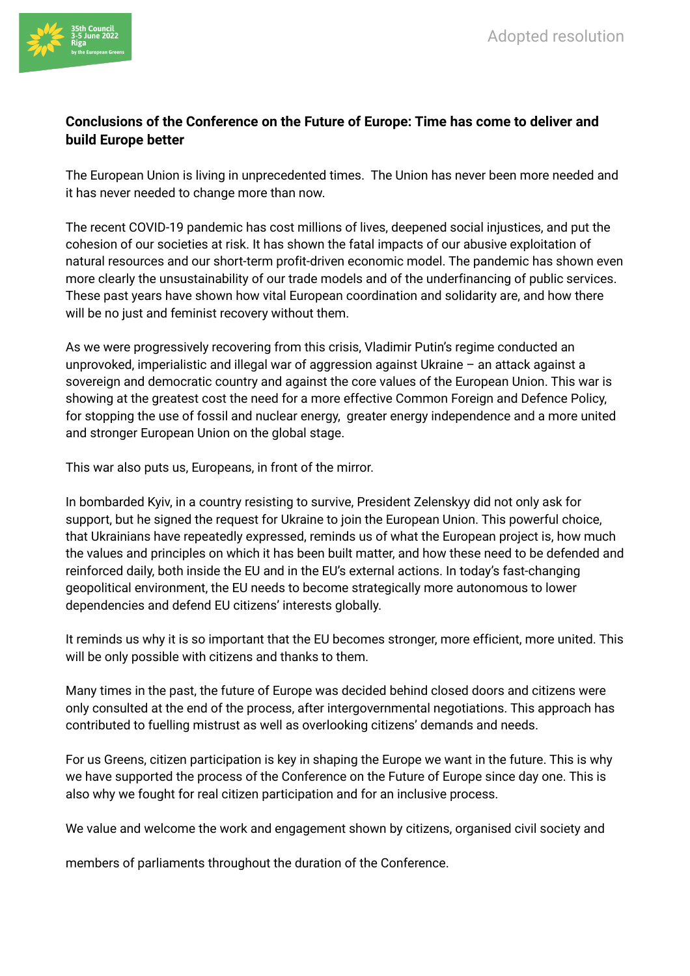

## **Conclusions of the Conference on the Future of Europe: Time has come to deliver and build Europe better**

The European Union is living in unprecedented times. The Union has never been more needed and it has never needed to change more than now.

The recent COVID-19 pandemic has cost millions of lives, deepened social injustices, and put the cohesion of our societies at risk. It has shown the fatal impacts of our abusive exploitation of natural resources and our short-term profit-driven economic model. The pandemic has shown even more clearly the unsustainability of our trade models and of the underfinancing of public services. These past years have shown how vital European coordination and solidarity are, and how there will be no just and feminist recovery without them.

As we were progressively recovering from this crisis, Vladimir Putin's regime conducted an unprovoked, imperialistic and illegal war of aggression against Ukraine – an attack against a sovereign and democratic country and against the core values of the European Union. This war is showing at the greatest cost the need for a more effective Common Foreign and Defence Policy, for stopping the use of fossil and nuclear energy, greater energy independence and a more united and stronger European Union on the global stage.

This war also puts us, Europeans, in front of the mirror.

In bombarded Kyiv, in a country resisting to survive, President Zelenskyy did not only ask for support, but he signed the request for Ukraine to join the European Union. This powerful choice, that Ukrainians have repeatedly expressed, reminds us of what the European project is, how much the values and principles on which it has been built matter, and how these need to be defended and reinforced daily, both inside the EU and in the EU's external actions. In today's fast-changing geopolitical environment, the EU needs to become strategically more autonomous to lower dependencies and defend EU citizens' interests globally.

It reminds us why it is so important that the EU becomes stronger, more efficient, more united. This will be only possible with citizens and thanks to them.

Many times in the past, the future of Europe was decided behind closed doors and citizens were only consulted at the end of the process, after intergovernmental negotiations. This approach has contributed to fuelling mistrust as well as overlooking citizens' demands and needs.

For us Greens, citizen participation is key in shaping the Europe we want in the future. This is why we have supported the process of the Conference on the Future of Europe since day one. This is also why we fought for real citizen participation and for an inclusive process.

We value and welcome the work and engagement shown by citizens, organised civil society and

members of parliaments throughout the duration of the Conference.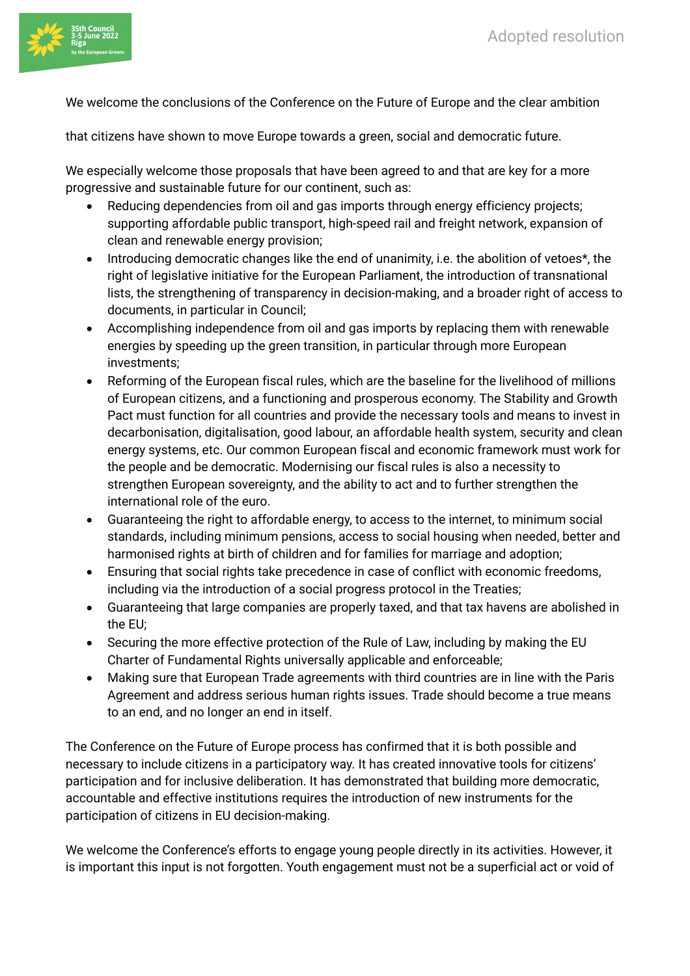

We welcome the conclusions of the Conference on the Future of Europe and the clear ambition

that citizens have shown to move Europe towards a green, social and democratic future.

We especially welcome those proposals that have been agreed to and that are key for a more progressive and sustainable future for our continent, such as:

- Reducing dependencies from oil and gas imports through energy efficiency projects; supporting affordable public transport, high-speed rail and freight network, expansion of clean and renewable energy provision;
- Introducing democratic changes like the end of unanimity, i.e. the abolition of vetoes<sup>\*</sup>, the right of legislative initiative for the European Parliament, the introduction of transnational lists, the strengthening of transparency in decision-making, and a broader right of access to documents, in particular in Council;
- Accomplishing independence from oil and gas imports by replacing them with renewable energies by speeding up the green transition, in particular through more European investments;
- Reforming of the European fiscal rules, which are the baseline for the livelihood of millions of European citizens, and a functioning and prosperous economy. The Stability and Growth Pact must function for all countries and provide the necessary tools and means to invest in decarbonisation, digitalisation, good labour, an affordable health system, security and clean energy systems, etc. Our common European fiscal and economic framework must work for the people and be democratic. Modernising our fiscal rules is also a necessity to strengthen European sovereignty, and the ability to act and to further strengthen the international role of the euro.
- Guaranteeing the right to affordable energy, to access to the internet, to minimum social standards, including minimum pensions, access to social housing when needed, better and harmonised rights at birth of children and for families for marriage and adoption;
- Ensuring that social rights take precedence in case of conflict with economic freedoms, including via the introduction of a social progress protocol in the Treaties;
- Guaranteeing that large companies are properly taxed, and that tax havens are abolished in the EU;
- Securing the more effective protection of the Rule of Law, including by making the EU Charter of Fundamental Rights universally applicable and enforceable;
- Making sure that European Trade agreements with third countries are in line with the Paris Agreement and address serious human rights issues. Trade should become a true means to an end, and no longer an end in itself.

The Conference on the Future of Europe process has confirmed that it is both possible and necessary to include citizens in a participatory way. It has created innovative tools for citizens' participation and for inclusive deliberation. It has demonstrated that building more democratic, accountable and effective institutions requires the introduction of new instruments for the participation of citizens in EU decision-making.

We welcome the Conference's efforts to engage young people directly in its activities. However, it is important this input is not forgotten. Youth engagement must not be a superficial act or void of